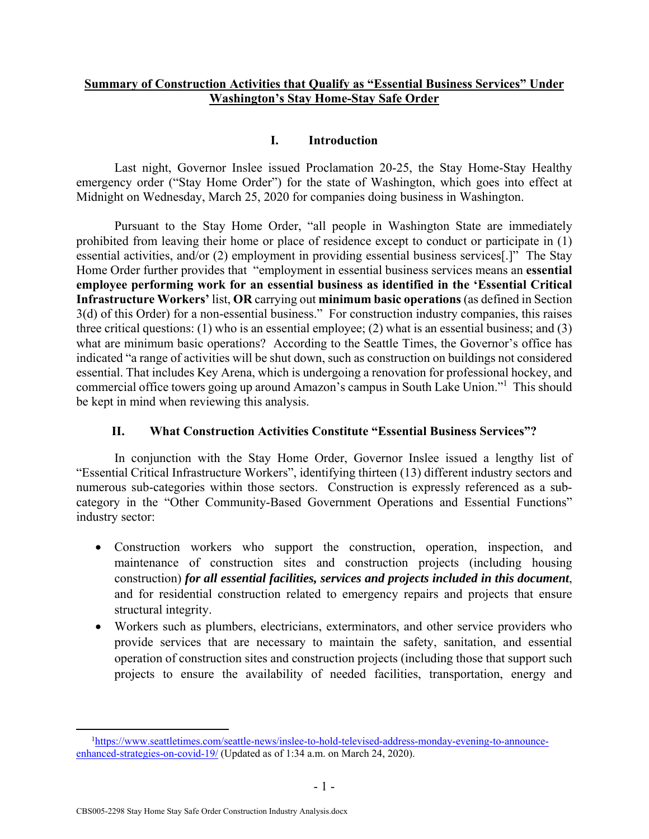## **Summary of Construction Activities that Qualify as "Essential Business Services" Under Washington's Stay Home-Stay Safe Order**

### **I. Introduction**

Last night, Governor Inslee issued Proclamation 20-25, the Stay Home-Stay Healthy emergency order ("Stay Home Order") for the state of Washington, which goes into effect at Midnight on Wednesday, March 25, 2020 for companies doing business in Washington.

Pursuant to the Stay Home Order, "all people in Washington State are immediately prohibited from leaving their home or place of residence except to conduct or participate in (1) essential activities, and/or (2) employment in providing essential business services[.]" The Stay Home Order further provides that "employment in essential business services means an **essential employee performing work for an essential business as identified in the 'Essential Critical Infrastructure Workers'** list, **OR** carrying out **minimum basic operations** (as defined in Section 3(d) of this Order) for a non-essential business." For construction industry companies, this raises three critical questions: (1) who is an essential employee; (2) what is an essential business; and (3) what are minimum basic operations? According to the Seattle Times, the Governor's office has indicated "a range of activities will be shut down, such as construction on buildings not considered essential. That includes Key Arena, which is undergoing a renovation for professional hockey, and commercial office towers going up around Amazon's campus in South Lake Union."<sup>1</sup> This should be kept in mind when reviewing this analysis.

### **II. What Construction Activities Constitute "Essential Business Services"?**

In conjunction with the Stay Home Order, Governor Inslee issued a lengthy list of "Essential Critical Infrastructure Workers", identifying thirteen (13) different industry sectors and numerous sub-categories within those sectors. Construction is expressly referenced as a subcategory in the "Other Community-Based Government Operations and Essential Functions" industry sector:

- Construction workers who support the construction, operation, inspection, and maintenance of construction sites and construction projects (including housing construction) *for all essential facilities, services and projects included in this document*, and for residential construction related to emergency repairs and projects that ensure structural integrity.
- Workers such as plumbers, electricians, exterminators, and other service providers who provide services that are necessary to maintain the safety, sanitation, and essential operation of construction sites and construction projects (including those that support such projects to ensure the availability of needed facilities, transportation, energy and

 $\frac{1}{1}$ https://www.seattletimes.com/seattle-news/inslee-to-hold-televised-address-monday-evening-to-announceenhanced-strategies-on-covid-19/ (Updated as of 1:34 a.m. on March 24, 2020).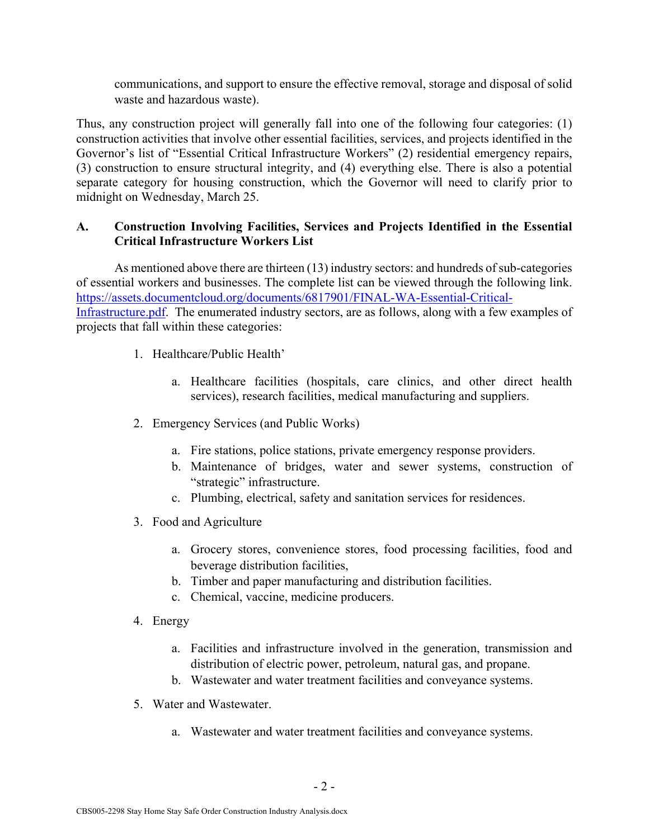communications, and support to ensure the effective removal, storage and disposal of solid waste and hazardous waste).

Thus, any construction project will generally fall into one of the following four categories: (1) construction activities that involve other essential facilities, services, and projects identified in the Governor's list of "Essential Critical Infrastructure Workers" (2) residential emergency repairs, (3) construction to ensure structural integrity, and (4) everything else. There is also a potential separate category for housing construction, which the Governor will need to clarify prior to midnight on Wednesday, March 25.

# **A. Construction Involving Facilities, Services and Projects Identified in the Essential Critical Infrastructure Workers List**

As mentioned above there are thirteen (13) industry sectors: and hundreds of sub-categories of essential workers and businesses. The complete list can be viewed through the following link. https://assets.documentcloud.org/documents/6817901/FINAL-WA-Essential-Critical-Infrastructure.pdf. The enumerated industry sectors, are as follows, along with a few examples of projects that fall within these categories:

- 1. Healthcare/Public Health'
	- a. Healthcare facilities (hospitals, care clinics, and other direct health services), research facilities, medical manufacturing and suppliers.
- 2. Emergency Services (and Public Works)
	- a. Fire stations, police stations, private emergency response providers.
	- b. Maintenance of bridges, water and sewer systems, construction of "strategic" infrastructure.
	- c. Plumbing, electrical, safety and sanitation services for residences.
- 3. Food and Agriculture
	- a. Grocery stores, convenience stores, food processing facilities, food and beverage distribution facilities,
	- b. Timber and paper manufacturing and distribution facilities.
	- c. Chemical, vaccine, medicine producers.
- 4. Energy
	- a. Facilities and infrastructure involved in the generation, transmission and distribution of electric power, petroleum, natural gas, and propane.
	- b. Wastewater and water treatment facilities and conveyance systems.
- 5. Water and Wastewater.
	- a. Wastewater and water treatment facilities and conveyance systems.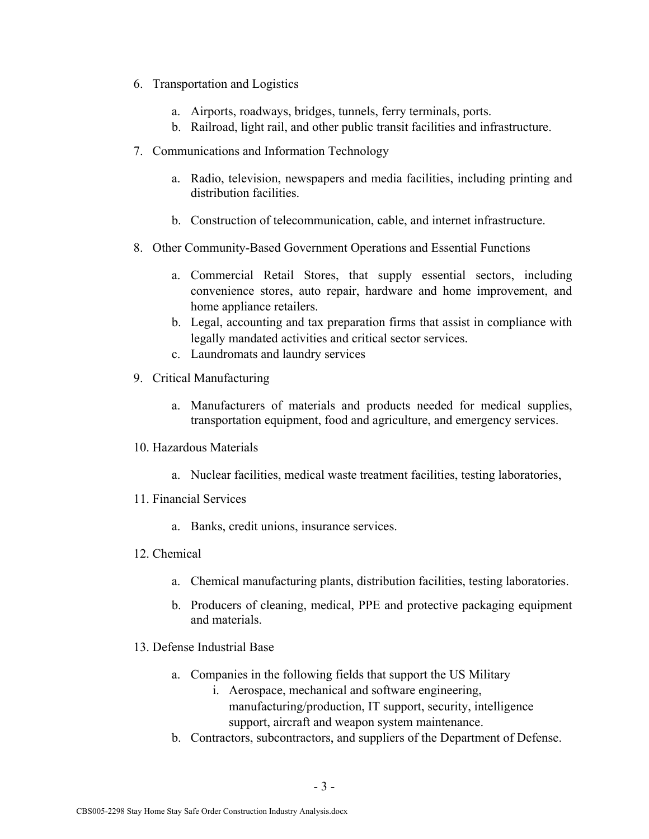- 6. Transportation and Logistics
	- a. Airports, roadways, bridges, tunnels, ferry terminals, ports.
	- b. Railroad, light rail, and other public transit facilities and infrastructure.
- 7. Communications and Information Technology
	- a. Radio, television, newspapers and media facilities, including printing and distribution facilities.
	- b. Construction of telecommunication, cable, and internet infrastructure.
- 8. Other Community-Based Government Operations and Essential Functions
	- a. Commercial Retail Stores, that supply essential sectors, including convenience stores, auto repair, hardware and home improvement, and home appliance retailers.
	- b. Legal, accounting and tax preparation firms that assist in compliance with legally mandated activities and critical sector services.
	- c. Laundromats and laundry services
- 9. Critical Manufacturing
	- a. Manufacturers of materials and products needed for medical supplies, transportation equipment, food and agriculture, and emergency services.
- 10. Hazardous Materials
	- a. Nuclear facilities, medical waste treatment facilities, testing laboratories,
- 11. Financial Services
	- a. Banks, credit unions, insurance services.
- 12. Chemical
	- a. Chemical manufacturing plants, distribution facilities, testing laboratories.
	- b. Producers of cleaning, medical, PPE and protective packaging equipment and materials.
- 13. Defense Industrial Base
	- a. Companies in the following fields that support the US Military
		- i. Aerospace, mechanical and software engineering, manufacturing/production, IT support, security, intelligence support, aircraft and weapon system maintenance.
	- b. Contractors, subcontractors, and suppliers of the Department of Defense.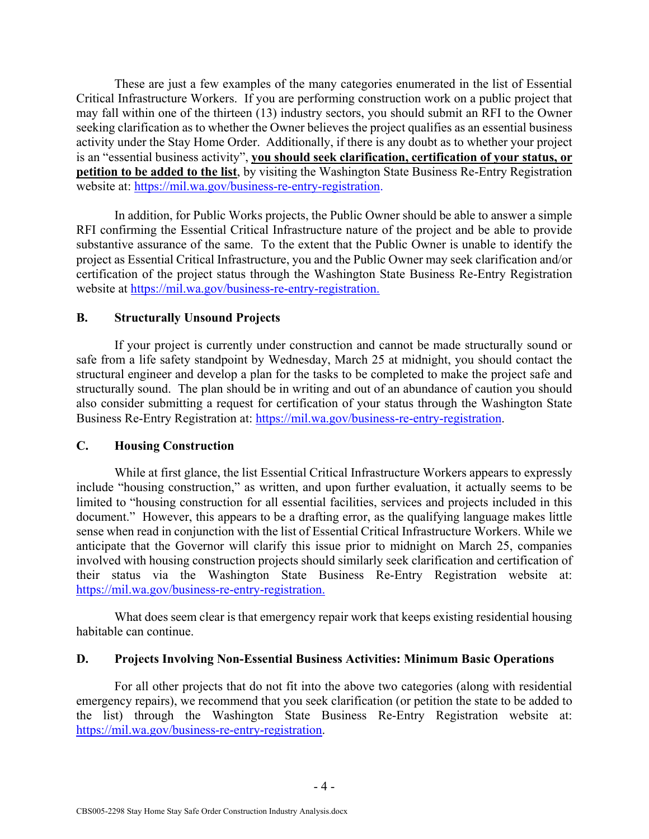These are just a few examples of the many categories enumerated in the list of Essential Critical Infrastructure Workers. If you are performing construction work on a public project that may fall within one of the thirteen (13) industry sectors, you should submit an RFI to the Owner seeking clarification as to whether the Owner believes the project qualifies as an essential business activity under the Stay Home Order. Additionally, if there is any doubt as to whether your project is an "essential business activity", **you should seek clarification, certification of your status, or petition to be added to the list**, by visiting the Washington State Business Re-Entry Registration website at: https://mil.wa.gov/business-re-entry-registration.

In addition, for Public Works projects, the Public Owner should be able to answer a simple RFI confirming the Essential Critical Infrastructure nature of the project and be able to provide substantive assurance of the same. To the extent that the Public Owner is unable to identify the project as Essential Critical Infrastructure, you and the Public Owner may seek clarification and/or certification of the project status through the Washington State Business Re-Entry Registration website at https://mil.wa.gov/business-re-entry-registration.

### **B. Structurally Unsound Projects**

If your project is currently under construction and cannot be made structurally sound or safe from a life safety standpoint by Wednesday, March 25 at midnight, you should contact the structural engineer and develop a plan for the tasks to be completed to make the project safe and structurally sound. The plan should be in writing and out of an abundance of caution you should also consider submitting a request for certification of your status through the Washington State Business Re-Entry Registration at: https://mil.wa.gov/business-re-entry-registration.

### **C. Housing Construction**

While at first glance, the list Essential Critical Infrastructure Workers appears to expressly include "housing construction," as written, and upon further evaluation, it actually seems to be limited to "housing construction for all essential facilities, services and projects included in this document." However, this appears to be a drafting error, as the qualifying language makes little sense when read in conjunction with the list of Essential Critical Infrastructure Workers. While we anticipate that the Governor will clarify this issue prior to midnight on March 25, companies involved with housing construction projects should similarly seek clarification and certification of their status via the Washington State Business Re-Entry Registration website at: https://mil.wa.gov/business-re-entry-registration.

What does seem clear is that emergency repair work that keeps existing residential housing habitable can continue.

### **D. Projects Involving Non-Essential Business Activities: Minimum Basic Operations**

For all other projects that do not fit into the above two categories (along with residential emergency repairs), we recommend that you seek clarification (or petition the state to be added to the list) through the Washington State Business Re-Entry Registration website at: https://mil.wa.gov/business-re-entry-registration.